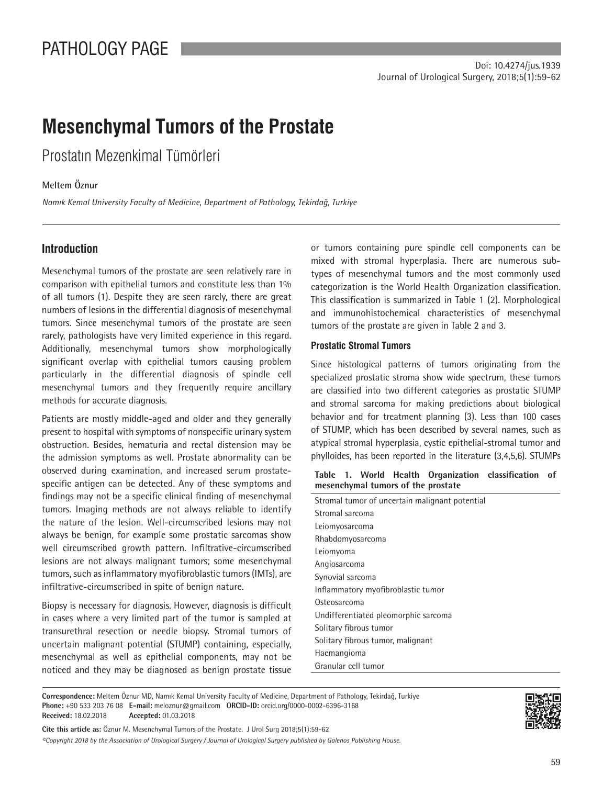# **Mesenchymal Tumors of the Prostate**

Prostatın Mezenkimal Tümörleri

# **[Meltem Öznur](https://orcid.org/0000-0002-6396-3168)**

*Namık Kemal University Faculty of Medicine, Department of Pathology, Tekirdağ, Turkiye*

# **Introduction**

Mesenchymal tumors of the prostate are seen relatively rare in comparison with epithelial tumors and constitute less than 1% of all tumors (1). Despite they are seen rarely, there are great numbers of lesions in the differential diagnosis of mesenchymal tumors. Since mesenchymal tumors of the prostate are seen rarely, pathologists have very limited experience in this regard. Additionally, mesenchymal tumors show morphologically significant overlap with epithelial tumors causing problem particularly in the differential diagnosis of spindle cell mesenchymal tumors and they frequently require ancillary methods for accurate diagnosis.

Patients are mostly middle-aged and older and they generally present to hospital with symptoms of nonspecific urinary system obstruction. Besides, hematuria and rectal distension may be the admission symptoms as well. Prostate abnormality can be observed during examination, and increased serum prostatespecific antigen can be detected. Any of these symptoms and findings may not be a specific clinical finding of mesenchymal tumors. Imaging methods are not always reliable to identify the nature of the lesion. Well-circumscribed lesions may not always be benign, for example some prostatic sarcomas show well circumscribed growth pattern. Infiltrative-circumscribed lesions are not always malignant tumors; some mesenchymal tumors, such as inflammatory myofibroblastic tumors (IMTs), are infiltrative-circumscribed in spite of benign nature.

Biopsy is necessary for diagnosis. However, diagnosis is difficult in cases where a very limited part of the tumor is sampled at transurethral resection or needle biopsy. Stromal tumors of uncertain malignant potential (STUMP) containing, especially, mesenchymal as well as epithelial components, may not be noticed and they may be diagnosed as benign prostate tissue

or tumors containing pure spindle cell components can be mixed with stromal hyperplasia. There are numerous subtypes of mesenchymal tumors and the most commonly used categorization is the World Health Organization classification. This classification is summarized in Table 1 (2). Morphological and immunohistochemical characteristics of mesenchymal tumors of the prostate are given in Table 2 and 3.

## **Prostatic Stromal Tumors**

Since histological patterns of tumors originating from the specialized prostatic stroma show wide spectrum, these tumors are classified into two different categories as prostatic STUMP and stromal sarcoma for making predictions about biological behavior and for treatment planning (3). Less than 100 cases of STUMP, which has been described by several names, such as atypical stromal hyperplasia, cystic epithelial-stromal tumor and phylloides, has been reported in the literature (3,4,5,6). STUMPs

#### **Table 1. World Health Organization classification of mesenchymal tumors of the prostate**

| Stromal tumor of uncertain malignant potential |  |
|------------------------------------------------|--|
| Stromal sarcoma                                |  |
| Leiomyosarcoma                                 |  |
| Rhabdomyosarcoma                               |  |
| Leiomyoma                                      |  |
| Angiosarcoma                                   |  |
| Synovial sarcoma                               |  |
| Inflammatory myofibroblastic tumor             |  |
| Osteosarcoma                                   |  |
| Undifferentiated pleomorphic sarcoma           |  |
| Solitary fibrous tumor                         |  |
| Solitary fibrous tumor, malignant              |  |
| Haemangioma                                    |  |
| Granular cell tumor                            |  |

**Correspondence:** Meltem Öznur MD, Namık Kemal University Faculty of Medicine, Department of Pathology, Tekirdağ, Turkiye **Phone:** +90 533 203 76 08 **E-mail:** meloznur@gmail.com **ORCID-ID:** orcid.org/0000-0002-6396-3168 **Received:** 18.02.2018 **Accepted:** 01.03.2018

*©Copyright 2018 by the Association of Urological Surgery / Journal of Urological Surgery published by Galenos Publishing House.* **Cite this article as:** Öznur M. Mesenchymal Tumors of the Prostate. J Urol Surg 2018;5(1):59-62

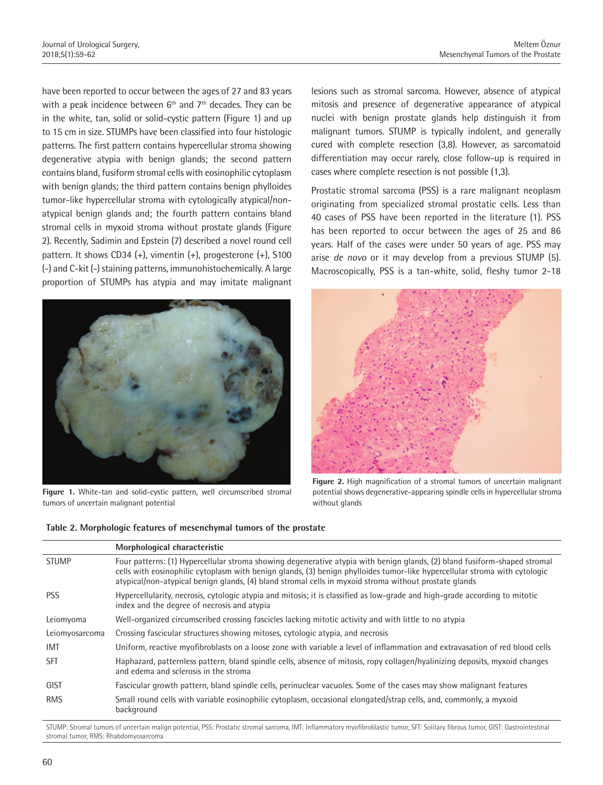have been reported to occur between the ages of 27 and 83 years with a peak incidence between  $6<sup>th</sup>$  and  $7<sup>th</sup>$  decades. They can be in the white, tan, solid or solid-cystic pattern (Figure 1) and up to 15 cm in size. STUMPs have been classified into four histologic patterns. The first pattern contains hypercellular stroma showing degenerative atypia with benign glands; the second pattern contains bland, fusiform stromal cells with eosinophilic cytoplasm with benign glands; the third pattern contains benign phylloides tumor-like hypercellular stroma with cytologically atypical/nonatypical benign glands and; the fourth pattern contains bland stromal cells in myxoid stroma without prostate glands (Figure 2). Recently, Sadimin and Epstein (7) described a novel round cell pattern. It shows CD34 (+), vimentin (+), progesterone (+), S100 (-) and C-kit (-) staining patterns, immunohistochemically. A large proportion of STUMPs has atypia and may imitate malignant



**Figure 1.** White-tan and solid-cystic pattern, well circumscribed stromal tumors of uncertain malignant potential

lesions such as stromal sarcoma. However, absence of atypical mitosis and presence of degenerative appearance of atypical nuclei with benign prostate glands help distinguish it from malignant tumors. STUMP is typically indolent, and generally cured with complete resection (3,8). However, as sarcomatoid differentiation may occur rarely, close follow-up is required in cases where complete resection is not possible (1,3).

Prostatic stromal sarcoma (PSS) is a rare malignant neoplasm originating from specialized stromal prostatic cells. Less than 40 cases of PSS have been reported in the literature (1). PSS has been reported to occur between the ages of 25 and 86 years. Half of the cases were under 50 years of age. PSS may arise *de novo* or it may develop from a previous STUMP (5). Macroscopically, PSS is a tan-white, solid, fleshy tumor 2-18



**Figure 2.** High magnification of a stromal tumors of uncertain malignant potential shows degenerative-appearing spindle cells in hypercellular stroma without glands

|                | Morphological characteristic                                                                                                                                                                                                                                                                                                                                     |
|----------------|------------------------------------------------------------------------------------------------------------------------------------------------------------------------------------------------------------------------------------------------------------------------------------------------------------------------------------------------------------------|
| <b>STUMP</b>   | Four patterns: (1) Hypercellular stroma showing degenerative atypia with benign glands, (2) bland fusiform-shaped stromal<br>cells with eosinophilic cytoplasm with benign glands, (3) benign phylloides tumor-like hypercellular stroma with cytologic<br>atypical/non-atypical benign glands, (4) bland stromal cells in myxoid stroma without prostate glands |
| <b>PSS</b>     | Hypercellularity, necrosis, cytologic atypia and mitosis; it is classified as low-grade and high-grade according to mitotic<br>index and the degree of necrosis and atypia                                                                                                                                                                                       |
| Leiomyoma      | Well-organized circumscribed crossing fascicles lacking mitotic activity and with little to no atypia                                                                                                                                                                                                                                                            |
| Leiomyosarcoma | Crossing fascicular structures showing mitoses, cytologic atypia, and necrosis                                                                                                                                                                                                                                                                                   |
| <b>IMT</b>     | Uniform, reactive myofibroblasts on a loose zone with variable a level of inflammation and extravasation of red blood cells                                                                                                                                                                                                                                      |
| SFT            | Haphazard, patternless pattern, bland spindle cells, absence of mitosis, ropy collagen/hyalinizing deposits, myxoid changes<br>and edema and sclerosis in the stroma                                                                                                                                                                                             |
| <b>GIST</b>    | Fascicular growth pattern, bland spindle cells, perinuclear vacuoles. Some of the cases may show malignant features                                                                                                                                                                                                                                              |
| <b>RMS</b>     | Small round cells with variable eosinophilic cytoplasm, occasional elongated/strap cells, and, commonly, a myxoid<br>background                                                                                                                                                                                                                                  |
|                |                                                                                                                                                                                                                                                                                                                                                                  |

**Table 2. Morphologic features of mesenchymal tumors of the prostate**

STUMP: Stromal tumors of uncertain malign potential, PSS: Prostatic stromal sarcoma, IMT: Inflammatory myofibroblastic tumor, SFT: Solitary fibrous tumor, GIST: Gastrointestinal stromal tumor, RMS: Rhabdomyosarcoma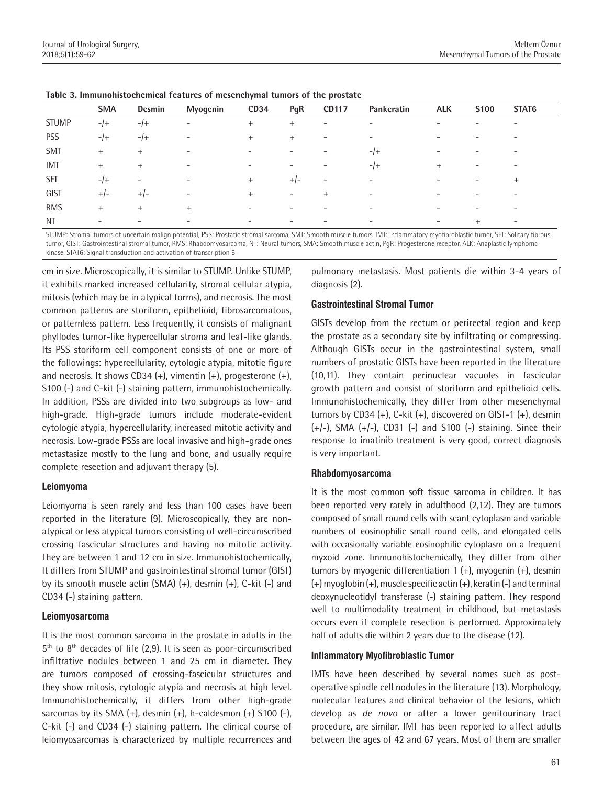|              | <b>SMA</b>               | Desmin          | Myogenin                 | CD34 | PgR                      | <b>CD117</b>             | Pankeratin               | <b>ALK</b>               | S <sub>100</sub> | STAT6                    |  |
|--------------|--------------------------|-----------------|--------------------------|------|--------------------------|--------------------------|--------------------------|--------------------------|------------------|--------------------------|--|
| <b>STUMP</b> | $-$ /+                   | $-1$            | $\overline{\phantom{a}}$ | $+$  | $^{+}$                   | $\overline{\phantom{a}}$ | $\overline{\phantom{0}}$ | $\overline{\phantom{a}}$ |                  | -                        |  |
| <b>PSS</b>   | $-$ /+                   | $-1$            | $\overline{\phantom{a}}$ | $+$  | $^{+}$                   | $\overline{\phantom{0}}$ | $\overline{\phantom{a}}$ | $\qquad \qquad$          |                  | -                        |  |
| <b>SMT</b>   | $+$                      | $+$             | $\overline{\phantom{0}}$ |      |                          |                          | $-1$                     | $\qquad \qquad$          |                  | -                        |  |
| <b>IMT</b>   | $+$                      | $+$             | $\overline{\phantom{a}}$ |      |                          | -                        | $-1$                     | $+$                      | -                | $\overline{\phantom{0}}$ |  |
| <b>SFT</b>   | $-1$                     | $\qquad \qquad$ | $\overline{\phantom{a}}$ | $+$  | $+/-$                    | $\overline{\phantom{a}}$ | $\overline{\phantom{0}}$ | $\qquad \qquad$          | -                | $\ddot{}$                |  |
| GIST         | $+/-$                    | $+/-$           | $\overline{\phantom{0}}$ | $+$  | $\overline{\phantom{0}}$ | $^{+}$                   | -                        |                          |                  | -                        |  |
| <b>RMS</b>   | $+$                      | $+$             | $+$                      |      |                          |                          |                          |                          |                  | -                        |  |
| NT           | $\overline{\phantom{0}}$ |                 |                          |      |                          |                          | -                        | $\overline{\phantom{0}}$ | $\ddot{}$        | $\overline{\phantom{0}}$ |  |

STUMP: Stromal tumors of uncertain malign potential, PSS: Prostatic stromal sarcoma, SMT: Smooth muscle tumors, IMT: Inflammatory myofibroblastic tumor, SFT: Solitary fibrous tumor, GIST: Gastrointestinal stromal tumor, RMS: Rhabdomyosarcoma, NT: Neural tumors, SMA: Smooth muscle actin, PgR: Progesterone receptor, ALK: Anaplastic lymphoma kinase, STAT6: Signal transduction and activation of transcription 6

cm in size. Microscopically, it is similar to STUMP. Unlike STUMP, it exhibits marked increased cellularity, stromal cellular atypia, mitosis (which may be in atypical forms), and necrosis. The most common patterns are storiform, epithelioid, fibrosarcomatous, or patternless pattern. Less frequently, it consists of malignant phyllodes tumor-like hypercellular stroma and leaf-like glands. Its PSS storiform cell component consists of one or more of the followings: hypercellularity, cytologic atypia, mitotic figure and necrosis. It shows CD34  $(+)$ , vimentin  $(+)$ , progesterone  $(+)$ , S100 (-) and C-kit (-) staining pattern, immunohistochemically. In addition, PSSs are divided into two subgroups as low- and high-grade. High-grade tumors include moderate-evident cytologic atypia, hypercellularity, increased mitotic activity and necrosis. Low-grade PSSs are local invasive and high-grade ones metastasize mostly to the lung and bone, and usually require complete resection and adjuvant therapy (5).

#### **Leiomyoma**

Leiomyoma is seen rarely and less than 100 cases have been reported in the literature (9). Microscopically, they are nonatypical or less atypical tumors consisting of well-circumscribed crossing fascicular structures and having no mitotic activity. They are between 1 and 12 cm in size. Immunohistochemically, It differs from STUMP and gastrointestinal stromal tumor (GIST) by its smooth muscle actin (SMA) (+), desmin (+), C-kit (-) and CD34 (-) staining pattern.

#### **Leiomyosarcoma**

It is the most common sarcoma in the prostate in adults in the  $5<sup>th</sup>$  to  $8<sup>th</sup>$  decades of life (2,9). It is seen as poor-circumscribed infiltrative nodules between 1 and 25 cm in diameter. They are tumors composed of crossing-fascicular structures and they show mitosis, cytologic atypia and necrosis at high level. Immunohistochemically, it differs from other high-grade sarcomas by its SMA  $(+)$ , desmin  $(+)$ , h-caldesmon  $(+)$  S100  $(-)$ , C-kit (-) and CD34 (-) staining pattern. The clinical course of leiomyosarcomas is characterized by multiple recurrences and

pulmonary metastasis. Most patients die within 3-4 years of diagnosis (2).

## **Gastrointestinal Stromal Tumor**

GISTs develop from the rectum or perirectal region and keep the prostate as a secondary site by infiltrating or compressing. Although GISTs occur in the gastrointestinal system, small numbers of prostatic GISTs have been reported in the literature (10,11). They contain perinuclear vacuoles in fascicular growth pattern and consist of storiform and epithelioid cells. Immunohistochemically, they differ from other mesenchymal tumors by CD34  $(+)$ , C-kit  $(+)$ , discovered on GIST-1  $(+)$ , desmin  $(+/-)$ , SMA  $(+/-)$ , CD31  $(-)$  and S100  $(-)$  staining. Since their response to imatinib treatment is very good, correct diagnosis is very important.

#### **Rhabdomyosarcoma**

It is the most common soft tissue sarcoma in children. It has been reported very rarely in adulthood (2,12). They are tumors composed of small round cells with scant cytoplasm and variable numbers of eosinophilic small round cells, and elongated cells with occasionally variable eosinophilic cytoplasm on a frequent myxoid zone. Immunohistochemically, they differ from other tumors by myogenic differentiation 1 (+), myogenin (+), desmin (+) myoglobin (+), muscle specific actin (+), keratin (-) and terminal deoxynucleotidyl transferase (-) staining pattern. They respond well to multimodality treatment in childhood, but metastasis occurs even if complete resection is performed. Approximately half of adults die within 2 years due to the disease (12).

# **Inflammatory Myofibroblastic Tumor**

IMTs have been described by several names such as postoperative spindle cell nodules in the literature (13). Morphology, molecular features and clinical behavior of the lesions, which develop as *de novo* or after a lower genitourinary tract procedure, are similar. IMT has been reported to affect adults between the ages of 42 and 67 years. Most of them are smaller